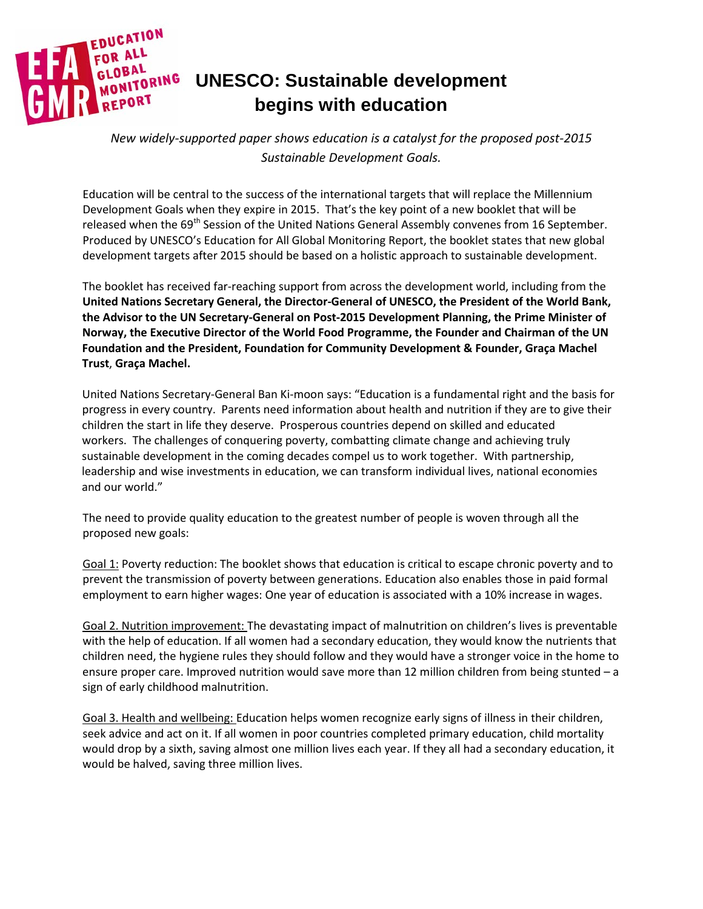

*New widely-supported paper shows education is a catalyst for the proposed post-2015 Sustainable Development Goals.*

Education will be central to the success of the international targets that will replace the Millennium Development Goals when they expire in 2015. That's the key point of a new booklet that will be released when the 69<sup>th</sup> Session of the United Nations General Assembly convenes from 16 September. Produced by UNESCO's Education for All Global Monitoring Report, the booklet states that new global development targets after 2015 should be based on a holistic approach to sustainable development.

The booklet has received far-reaching support from across the development world, including from the **United Nations Secretary General, the Director-General of UNESCO, the President of the World Bank, the Advisor to the UN Secretary-General on Post-2015 Development Planning, the Prime Minister of Norway, the Executive Director of the World Food Programme, the Founder and Chairman of the UN Foundation and the President, Foundation for Community Development & Founder, Graça Machel Trust**, **Graça Machel.**

United Nations Secretary-General Ban Ki-moon says: "Education is a fundamental right and the basis for progress in every country. Parents need information about health and nutrition if they are to give their children the start in life they deserve. Prosperous countries depend on skilled and educated workers. The challenges of conquering poverty, combatting climate change and achieving truly sustainable development in the coming decades compel us to work together. With partnership, leadership and wise investments in education, we can transform individual lives, national economies and our world."

The need to provide quality education to the greatest number of people is woven through all the proposed new goals:

Goal 1: Poverty reduction: The booklet shows that education is critical to escape chronic poverty and to prevent the transmission of poverty between generations. Education also enables those in paid formal employment to earn higher wages: One year of education is associated with a 10% increase in wages.

Goal 2. Nutrition improvement: The devastating impact of malnutrition on children's lives is preventable with the help of education. If all women had a secondary education, they would know the nutrients that children need, the hygiene rules they should follow and they would have a stronger voice in the home to ensure proper care. Improved nutrition would save more than 12 million children from being stunted – a sign of early childhood malnutrition.

Goal 3. Health and wellbeing: Education helps women recognize early signs of illness in their children, seek advice and act on it. If all women in poor countries completed primary education, child mortality would drop by a sixth, saving almost one million lives each year. If they all had a secondary education, it would be halved, saving three million lives.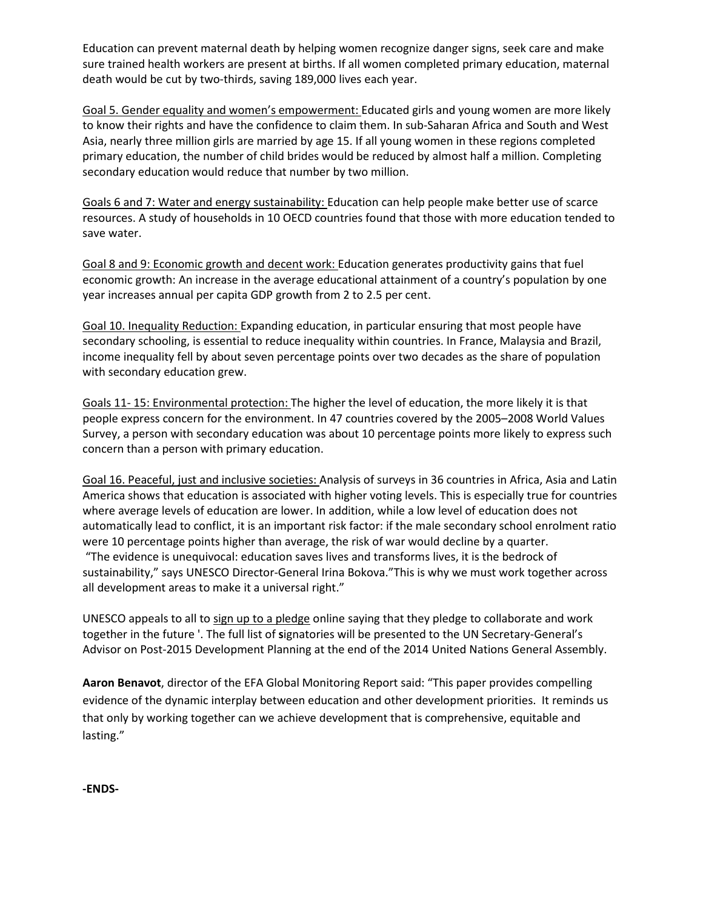Education can prevent maternal death by helping women recognize danger signs, seek care and make sure trained health workers are present at births. If all women completed primary education, maternal death would be cut by two-thirds, saving 189,000 lives each year.

Goal 5. Gender equality and women's empowerment: Educated girls and young women are more likely to know their rights and have the confidence to claim them. In sub-Saharan Africa and South and West Asia, nearly three million girls are married by age 15. If all young women in these regions completed primary education, the number of child brides would be reduced by almost half a million. Completing secondary education would reduce that number by two million.

Goals 6 and 7: Water and energy sustainability: Education can help people make better use of scarce resources. A study of households in 10 OECD countries found that those with more education tended to save water.

Goal 8 and 9: Economic growth and decent work: Education generates productivity gains that fuel economic growth: An increase in the average educational attainment of a country's population by one year increases annual per capita GDP growth from 2 to 2.5 per cent.

Goal 10. Inequality Reduction: Expanding education, in particular ensuring that most people have secondary schooling, is essential to reduce inequality within countries. In France, Malaysia and Brazil, income inequality fell by about seven percentage points over two decades as the share of population with secondary education grew.

Goals 11- 15: Environmental protection: The higher the level of education, the more likely it is that people express concern for the environment. In 47 countries covered by the 2005–2008 World Values Survey, a person with secondary education was about 10 percentage points more likely to express such concern than a person with primary education.

Goal 16. Peaceful, just and inclusive societies: Analysis of surveys in 36 countries in Africa, Asia and Latin America shows that education is associated with higher voting levels. This is especially true for countries where average levels of education are lower. In addition, while a low level of education does not automatically lead to conflict, it is an important risk factor: if the male secondary school enrolment ratio were 10 percentage points higher than average, the risk of war would decline by a quarter. "The evidence is unequivocal: education saves lives and transforms lives, it is the bedrock of sustainability," says UNESCO Director-General Irina Bokova."This is why we must work together across all development areas to make it a universal right."

UNESCO appeals to all to sign up to a [pledge](http://www.education-transforms.org/en/?page_id=159) online saying that they pledge to collaborate and work together in the future '. The full list of **s**ignatories will be presented to the UN Secretary-General's Advisor on Post-2015 Development Planning at the end of the 2014 United Nations General Assembly.

**Aaron Benavot**, director of the EFA Global Monitoring Report said: "This paper provides compelling evidence of the dynamic interplay between education and other development priorities. It reminds us that only by working together can we achieve development that is comprehensive, equitable and lasting."

**-ENDS-**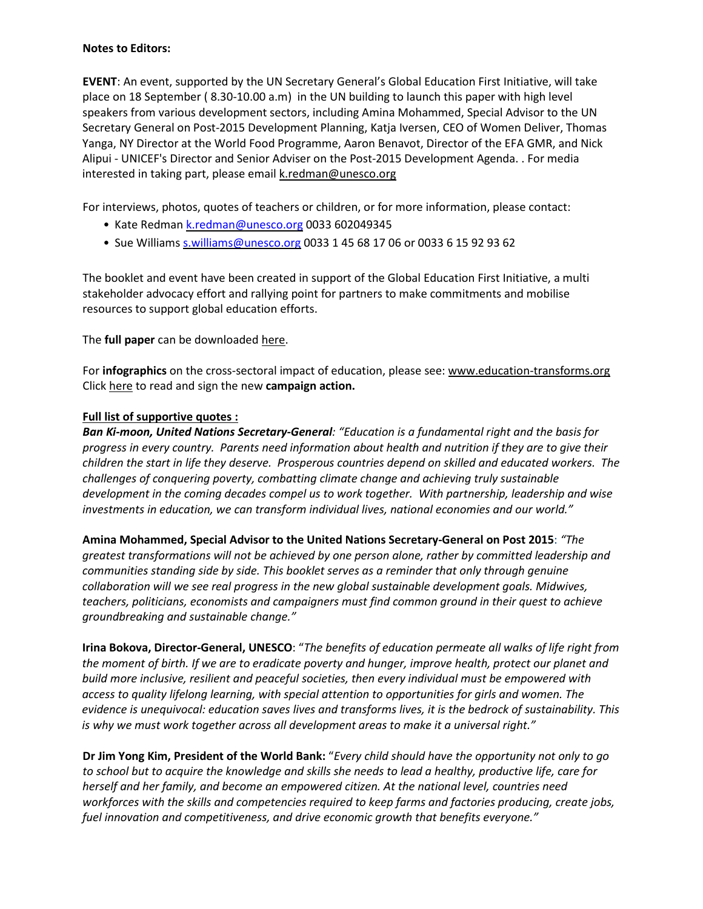## **Notes to Editors:**

**EVENT**: An event, supported by the UN Secretary General's Global Education First Initiative, will take place on 18 September ( 8.30-10.00 a.m) in the UN building to launch this paper with high level speakers from various development sectors, including Amina Mohammed, Special Advisor to the UN Secretary General on Post-2015 Development Planning, Katja Iversen, CEO of Women Deliver, Thomas Yanga, NY Director at the World Food Programme, Aaron Benavot, Director of the EFA GMR, and Nick Alipui - UNICEF's Director and Senior Adviser on the Post-2015 Development Agenda. . For media interested in taking part, please email [k.redman@unesco.org](mailto:k.redman@unesco.org)

For interviews, photos, quotes of teachers or children, or for more information, please contact:

- Kate Redman [k.redman@unesco.org](mailto:k.redman@unesco.org) 0033 602049345
- Sue Williams [s.williams@unesco.org](mailto:s.williams@unesco.org) 0033 1 45 68 17 06 or 0033 6 15 92 93 62

The booklet and event have been created in support of the Global Education First Initiative, a multi stakeholder advocacy effort and rallying point for partners to make commitments and mobilise resources to support global education efforts.

The **full paper** can be downloaded [here.](http://bit.ly/unite4dev)

For **infographics** on the cross-sectoral impact of education, please see: [www.education-transforms.org](http://www.education-transforms.org/) Click [here](http://www.education-transforms.org/en/?page_id=159) to read and sign the new **campaign action.**

## **Full list of supportive quotes :**

*Ban Ki-moon, United Nations Secretary-General: "Education is a fundamental right and the basis for progress in every country. Parents need information about health and nutrition if they are to give their children the start in life they deserve. Prosperous countries depend on skilled and educated workers. The challenges of conquering poverty, combatting climate change and achieving truly sustainable development in the coming decades compel us to work together. With partnership, leadership and wise investments in education, we can transform individual lives, national economies and our world."*

**Amina Mohammed, Special Advisor to the United Nations Secretary-General on Post 2015**: *"The greatest transformations will not be achieved by one person alone, rather by committed leadership and communities standing side by side. This booklet serves as a reminder that only through genuine collaboration will we see real progress in the new global sustainable development goals. Midwives, teachers, politicians, economists and campaigners must find common ground in their quest to achieve groundbreaking and sustainable change."*

**Irina Bokova, Director-General, UNESCO**: "*The benefits of education permeate all walks of life right from* the moment of birth. If we are to eradicate poverty and hunger, improve health, protect our planet and *build more inclusive, resilient and peaceful societies, then every individual must be empowered with access to quality lifelong learning, with special attention to opportunities for girls and women. The evidence is unequivocal: education saves lives and transforms lives, it is the bedrock of sustainability. This is why we must work together across all development areas to make it a universal right."*

Dr Jim Yong Kim, President of the World Bank: "Every child should have the opportunity not only to go to school but to acquire the knowledge and skills she needs to lead a healthy, productive life, care for *herself and her family, and become an empowered citizen. At the national level, countries need workforces with the skills and competencies required to keep farms and factories producing, create jobs, fuel innovation and competitiveness, and drive economic growth that benefits everyone."*